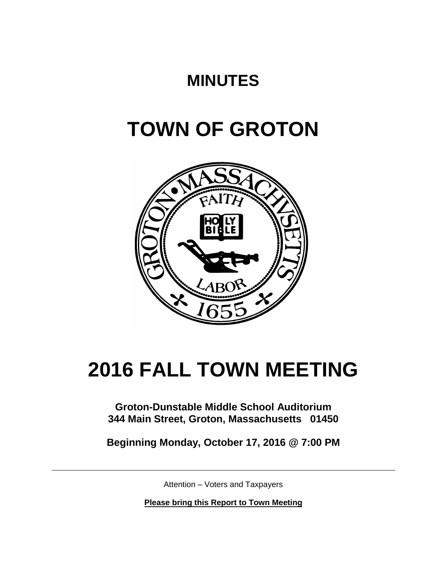# **MINUTES**

# **TOWN OF GROTON**



# **2016 FALL TOWN MEETING**

**Groton-Dunstable Middle School Auditorium 344 Main Street, Groton, Massachusetts 01450**

**Beginning Monday, October 17, 2016 @ 7:00 PM**

Attention – Voters and Taxpayers

**Please bring this Report to Town Meeting**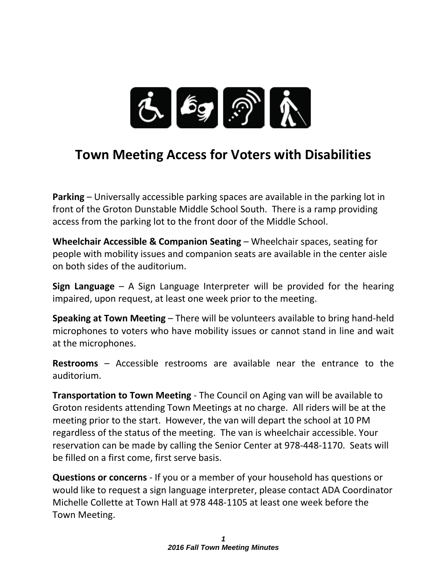

## **Town Meeting Access for Voters with Disabilities**

**Parking** – Universally accessible parking spaces are available in the parking lot in front of the Groton Dunstable Middle School South. There is a ramp providing access from the parking lot to the front door of the Middle School.

**Wheelchair Accessible & Companion Seating** – Wheelchair spaces, seating for people with mobility issues and companion seats are available in the center aisle on both sides of the auditorium.

**Sign Language** – A Sign Language Interpreter will be provided for the hearing impaired, upon request, at least one week prior to the meeting.

**Speaking at Town Meeting** – There will be volunteers available to bring hand-held microphones to voters who have mobility issues or cannot stand in line and wait at the microphones.

**Restrooms** – Accessible restrooms are available near the entrance to the auditorium.

**Transportation to Town Meeting** - The Council on Aging van will be available to Groton residents attending Town Meetings at no charge. All riders will be at the meeting prior to the start. However, the van will depart the school at 10 PM regardless of the status of the meeting. The van is wheelchair accessible. Your reservation can be made by calling the Senior Center at 978-448-1170. Seats will be filled on a first come, first serve basis.

**Questions or concerns** - If you or a member of your household has questions or would like to request a sign language interpreter, please contact ADA Coordinator Michelle Collette at Town Hall at 978 448-1105 at least one week before the Town Meeting.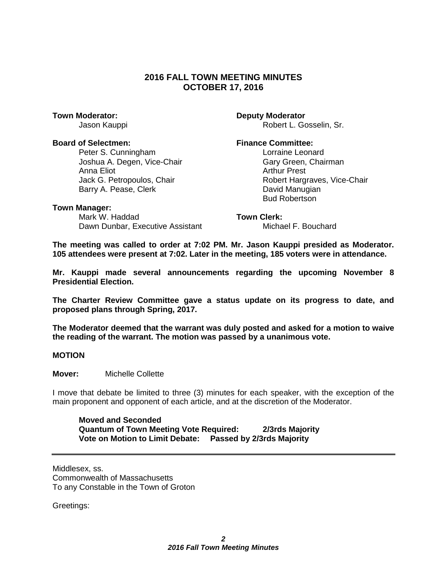### **2016 FALL TOWN MEETING MINUTES OCTOBER 17, 2016**

#### **Board of Selectmen: Finance Committee:**

Peter S. Cunningham Lorraine Leonard Joshua A. Degen, Vice-Chair Gary Green, Chairman Anna Eliot **Arthur Prest** Barry A. Pease, Clerk **David Manugian** 

**Town Moderator: Deputy Moderator** Jason Kauppi **Robert L. Gosselin, Sr.** Robert L. Gosselin, Sr.

Jack G. Petropoulos, Chair **Robert Hargraves, Vice-Chair** Robert Hargraves, Vice-Chair Bud Robertson

#### **Town Manager:**

Mark W. Haddad **Town Clerk:** Dawn Dunbar, Executive Assistant Michael F. Bouchard

**The meeting was called to order at 7:02 PM. Mr. Jason Kauppi presided as Moderator. 105 attendees were present at 7:02. Later in the meeting, 185 voters were in attendance.** 

**Mr. Kauppi made several announcements regarding the upcoming November 8 Presidential Election.**

**The Charter Review Committee gave a status update on its progress to date, and proposed plans through Spring, 2017.**

**The Moderator deemed that the warrant was duly posted and asked for a motion to waive the reading of the warrant. The motion was passed by a unanimous vote.**

**MOTION**

**Mover:** Michelle Collette

I move that debate be limited to three (3) minutes for each speaker, with the exception of the main proponent and opponent of each article, and at the discretion of the Moderator.

**Moved and Seconded Quantum of Town Meeting Vote Required: 2/3rds Majority Vote on Motion to Limit Debate: Passed by 2/3rds Majority**

Middlesex, ss. Commonwealth of Massachusetts To any Constable in the Town of Groton

Greetings: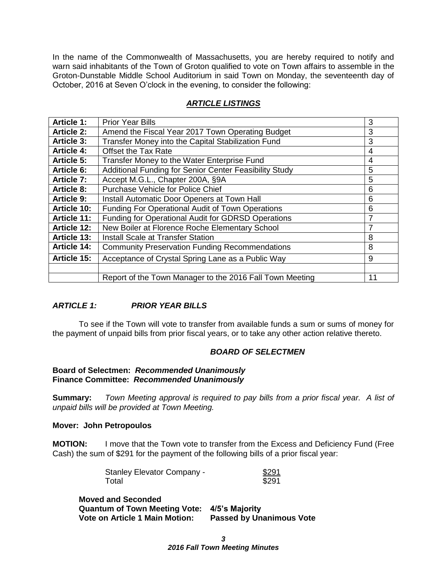In the name of the Commonwealth of Massachusetts, you are hereby required to notify and warn said inhabitants of the Town of Groton qualified to vote on Town affairs to assemble in the Groton-Dunstable Middle School Auditorium in said Town on Monday, the seventeenth day of October, 2016 at Seven O'clock in the evening, to consider the following:

| <b>Article 1:</b>  | <b>Prior Year Bills</b>                                  | 3  |
|--------------------|----------------------------------------------------------|----|
| <b>Article 2:</b>  | Amend the Fiscal Year 2017 Town Operating Budget         | 3  |
| <b>Article 3:</b>  | Transfer Money into the Capital Stabilization Fund       | 3  |
| <b>Article 4:</b>  | <b>Offset the Tax Rate</b>                               | 4  |
| <b>Article 5:</b>  | Transfer Money to the Water Enterprise Fund              | 4  |
| <b>Article 6:</b>  | Additional Funding for Senior Center Feasibility Study   | 5  |
| Article 7:         | Accept M.G.L., Chapter 200A, §9A                         | 5  |
| <b>Article 8:</b>  | Purchase Vehicle for Police Chief                        | 6  |
| <b>Article 9:</b>  | Install Automatic Door Openers at Town Hall              | 6  |
| <b>Article 10:</b> | Funding For Operational Audit of Town Operations         | 6  |
| <b>Article 11:</b> | Funding for Operational Audit for GDRSD Operations       |    |
| <b>Article 12:</b> | New Boiler at Florence Roche Elementary School           |    |
| <b>Article 13:</b> | <b>Install Scale at Transfer Station</b>                 | 8  |
| <b>Article 14:</b> | <b>Community Preservation Funding Recommendations</b>    | 8  |
| <b>Article 15:</b> | Acceptance of Crystal Spring Lane as a Public Way        | 9  |
|                    |                                                          |    |
|                    | Report of the Town Manager to the 2016 Fall Town Meeting | 11 |

### *ARTICLE LISTINGS*

### *ARTICLE 1: PRIOR YEAR BILLS*

To see if the Town will vote to transfer from available funds a sum or sums of money for the payment of unpaid bills from prior fiscal years, or to take any other action relative thereto.

#### *BOARD OF SELECTMEN*

#### **Board of Selectmen:** *Recommended Unanimously* **Finance Committee:** *Recommended Unanimously*

**Summary:** *Town Meeting approval is required to pay bills from a prior fiscal year. A list of unpaid bills will be provided at Town Meeting.*

#### **Mover: John Petropoulos**

**MOTION:** I move that the Town vote to transfer from the Excess and Deficiency Fund (Free Cash) the sum of \$291 for the payment of the following bills of a prior fiscal year:

| <b>Stanley Elevator Company -</b> | \$291 |
|-----------------------------------|-------|
| Total                             | \$291 |

**Moved and Seconded Quantum of Town Meeting Vote: 4/5's Majority Passed by Unanimous Vote**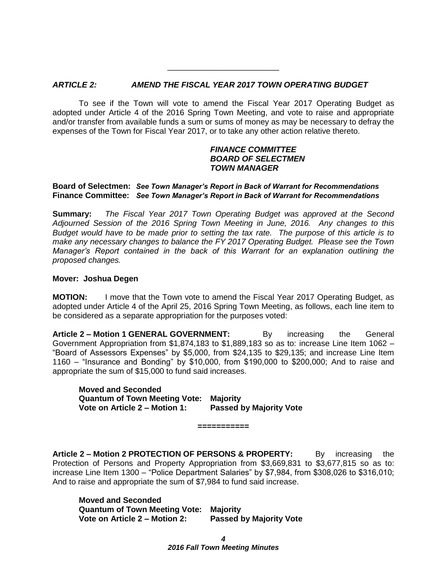#### *ARTICLE 2: AMEND THE FISCAL YEAR 2017 TOWN OPERATING BUDGET*

To see if the Town will vote to amend the Fiscal Year 2017 Operating Budget as adopted under Article 4 of the 2016 Spring Town Meeting, and vote to raise and appropriate and/or transfer from available funds a sum or sums of money as may be necessary to defray the expenses of the Town for Fiscal Year 2017, or to take any other action relative thereto.

\_\_\_\_\_\_\_\_\_\_\_\_\_\_\_\_\_\_\_\_\_\_\_\_\_

#### *FINANCE COMMITTEE BOARD OF SELECTMEN TOWN MANAGER*

#### **Board of Selectmen:** *See Town Manager's Report in Back of Warrant for Recommendations* **Finance Committee:** *See Town Manager's Report in Back of Warrant for Recommendations*

**Summary:** *The Fiscal Year 2017 Town Operating Budget was approved at the Second Adjourned Session of the 2016 Spring Town Meeting in June, 2016. Any changes to this Budget would have to be made prior to setting the tax rate. The purpose of this article is to make any necessary changes to balance the FY 2017 Operating Budget. Please see the Town Manager's Report contained in the back of this Warrant for an explanation outlining the proposed changes.*

#### **Mover: Joshua Degen**

**MOTION:** I move that the Town vote to amend the Fiscal Year 2017 Operating Budget, as adopted under Article 4 of the April 25, 2016 Spring Town Meeting, as follows, each line item to be considered as a separate appropriation for the purposes voted:

**Article 2 – Motion 1 GENERAL GOVERNMENT:** By increasing the General Government Appropriation from  $$1,874,183$  to  $$1,889,183$  so as to: increase Line Item  $1062 -$ "Board of Assessors Expenses" by \$5,000, from \$24,135 to \$29,135; and increase Line Item 1160 – "Insurance and Bonding" by \$10,000, from \$190,000 to \$200,000; And to raise and appropriate the sum of \$15,000 to fund said increases.

**Moved and Seconded Quantum of Town Meeting Vote: Majority Vote on Article 2 – Motion 1: Passed by Majority Vote**

**Article 2 – Motion 2 PROTECTION OF PERSONS & PROPERTY:** By increasing the Protection of Persons and Property Appropriation from \$3,669,831 to \$3,677,815 so as to: increase Line Item 1300 – "Police Department Salaries" by \$7,984, from \$308,026 to \$316,010; And to raise and appropriate the sum of \$7,984 to fund said increase.

**===========**

**Moved and Seconded Quantum of Town Meeting Vote: Majority Vote on Article 2 – Motion 2: Passed by Majority Vote**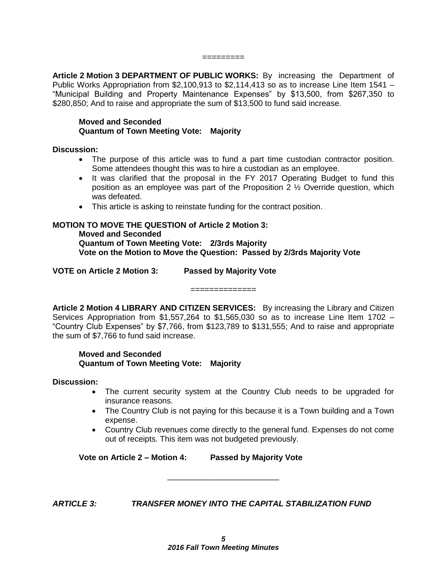#### =========

**Article 2 Motion 3 DEPARTMENT OF PUBLIC WORKS:** By increasing the Department of Public Works Appropriation from \$2,100,913 to \$2,114,413 so as to increase Line Item 1541 – "Municipal Building and Property Maintenance Expenses" by \$13,500, from \$267,350 to \$280,850; And to raise and appropriate the sum of \$13,500 to fund said increase.

#### **Moved and Seconded Quantum of Town Meeting Vote: Majority**

#### **Discussion:**

- The purpose of this article was to fund a part time custodian contractor position. Some attendees thought this was to hire a custodian as an employee.
- It was clarified that the proposal in the FY 2017 Operating Budget to fund this position as an employee was part of the Proposition 2 ½ Override question, which was defeated.
- This article is asking to reinstate funding for the contract position.

### **MOTION TO MOVE THE QUESTION of Article 2 Motion 3:**

**Moved and Seconded Quantum of Town Meeting Vote: 2/3rds Majority Vote on the Motion to Move the Question: Passed by 2/3rds Majority Vote**

**VOTE on Article 2 Motion 3: Passed by Majority Vote**

**Article 2 Motion 4 LIBRARY AND CITIZEN SERVICES:** By increasing the Library and Citizen Services Appropriation from \$1,557,264 to \$1,565,030 so as to increase Line Item 1702 – "Country Club Expenses" by \$7,766, from \$123,789 to \$131,555; And to raise and appropriate the sum of \$7,766 to fund said increase.

==============

#### **Moved and Seconded Quantum of Town Meeting Vote: Majority**

#### **Discussion:**

- The current security system at the Country Club needs to be upgraded for insurance reasons.
- The Country Club is not paying for this because it is a Town building and a Town expense.
- Country Club revenues come directly to the general fund. Expenses do not come out of receipts. This item was not budgeted previously.

**Vote on Article 2 – Motion 4: Passed by Majority Vote**

*ARTICLE 3: TRANSFER MONEY INTO THE CAPITAL STABILIZATION FUND*

\_\_\_\_\_\_\_\_\_\_\_\_\_\_\_\_\_\_\_\_\_\_\_\_\_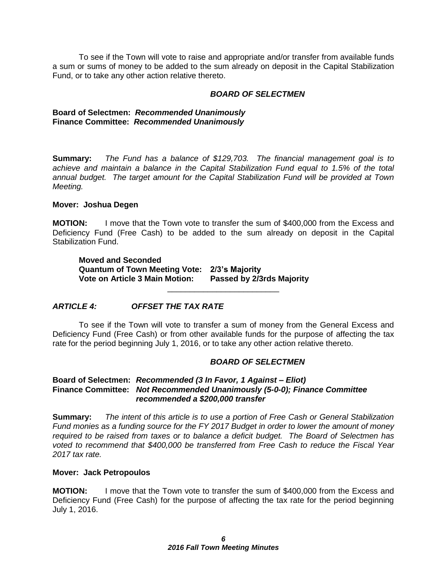To see if the Town will vote to raise and appropriate and/or transfer from available funds a sum or sums of money to be added to the sum already on deposit in the Capital Stabilization Fund, or to take any other action relative thereto.

#### *BOARD OF SELECTMEN*

#### **Board of Selectmen:** *Recommended Unanimously* **Finance Committee:** *Recommended Unanimously*

**Summary:** *The Fund has a balance of \$129,703. The financial management goal is to achieve and maintain a balance in the Capital Stabilization Fund equal to 1.5% of the total annual budget. The target amount for the Capital Stabilization Fund will be provided at Town Meeting.*

#### **Mover: Joshua Degen**

**MOTION:** I move that the Town vote to transfer the sum of \$400,000 from the Excess and Deficiency Fund (Free Cash) to be added to the sum already on deposit in the Capital Stabilization Fund.

**Moved and Seconded Quantum of Town Meeting Vote: 2/3's Majority Vote on Article 3 Main Motion: Passed by 2/3rds Majority**

### *ARTICLE 4: OFFSET THE TAX RATE*

To see if the Town will vote to transfer a sum of money from the General Excess and Deficiency Fund (Free Cash) or from other available funds for the purpose of affecting the tax rate for the period beginning July 1, 2016, or to take any other action relative thereto.

\_\_\_\_\_\_\_\_\_\_\_\_\_\_\_\_\_\_\_\_\_\_\_\_\_

#### *BOARD OF SELECTMEN*

#### **Board of Selectmen:** *Recommended (3 In Favor, 1 Against – Eliot)* **Finance Committee:** *Not Recommended Unanimously (5-0-0); Finance Committee recommended a \$200,000 transfer*

**Summary:** *The intent of this article is to use a portion of Free Cash or General Stabilization Fund monies as a funding source for the FY 2017 Budget in order to lower the amount of money required to be raised from taxes or to balance a deficit budget. The Board of Selectmen has voted to recommend that \$400,000 be transferred from Free Cash to reduce the Fiscal Year 2017 tax rate.*

#### **Mover: Jack Petropoulos**

**MOTION:** I move that the Town vote to transfer the sum of \$400,000 from the Excess and Deficiency Fund (Free Cash) for the purpose of affecting the tax rate for the period beginning July 1, 2016.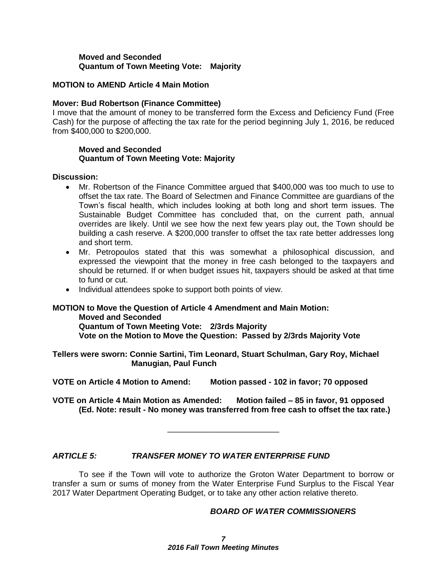#### **Moved and Seconded Quantum of Town Meeting Vote: Majority**

#### **MOTION to AMEND Article 4 Main Motion**

#### **Mover: Bud Robertson (Finance Committee)**

I move that the amount of money to be transferred form the Excess and Deficiency Fund (Free Cash) for the purpose of affecting the tax rate for the period beginning July 1, 2016, be reduced from \$400,000 to \$200,000.

#### **Moved and Seconded Quantum of Town Meeting Vote: Majority**

#### **Discussion:**

- Mr. Robertson of the Finance Committee argued that \$400,000 was too much to use to offset the tax rate. The Board of Selectmen and Finance Committee are guardians of the Town's fiscal health, which includes looking at both long and short term issues. The Sustainable Budget Committee has concluded that, on the current path, annual overrides are likely. Until we see how the next few years play out, the Town should be building a cash reserve. A \$200,000 transfer to offset the tax rate better addresses long and short term.
- Mr. Petropoulos stated that this was somewhat a philosophical discussion, and expressed the viewpoint that the money in free cash belonged to the taxpayers and should be returned. If or when budget issues hit, taxpayers should be asked at that time to fund or cut.
- Individual attendees spoke to support both points of view.

### **MOTION to Move the Question of Article 4 Amendment and Main Motion: Moved and Seconded Quantum of Town Meeting Vote: 2/3rds Majority**

**Vote on the Motion to Move the Question: Passed by 2/3rds Majority Vote**

**Tellers were sworn: Connie Sartini, Tim Leonard, Stuart Schulman, Gary Roy, Michael Manugian, Paul Funch**

**VOTE on Article 4 Motion to Amend: Motion passed - 102 in favor; 70 opposed**

**VOTE on Article 4 Main Motion as Amended: Motion failed – 85 in favor, 91 opposed (Ed. Note: result - No money was transferred from free cash to offset the tax rate.)**

\_\_\_\_\_\_\_\_\_\_\_\_\_\_\_\_\_\_\_\_\_\_\_\_\_

### *ARTICLE 5: TRANSFER MONEY TO WATER ENTERPRISE FUND*

To see if the Town will vote to authorize the Groton Water Department to borrow or transfer a sum or sums of money from the Water Enterprise Fund Surplus to the Fiscal Year 2017 Water Department Operating Budget, or to take any other action relative thereto.

#### *BOARD OF WATER COMMISSIONERS*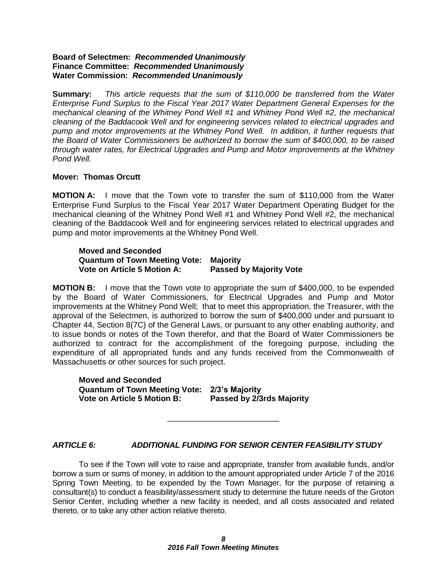#### **Board of Selectmen:** *Recommended Unanimously* **Finance Committee:** *Recommended Unanimously* **Water Commission:** *Recommended Unanimously*

**Summary:** *This article requests that the sum of \$110,000 be transferred from the Water Enterprise Fund Surplus to the Fiscal Year 2017 Water Department General Expenses for the mechanical cleaning of the Whitney Pond Well #1 and Whitney Pond Well #2, the mechanical cleaning of the Baddacook Well and for engineering services related to electrical upgrades and pump and motor improvements at the Whitney Pond Well. In addition, it further requests that the Board of Water Commissioners be authorized to borrow the sum of \$400,000, to be raised through water rates, for Electrical Upgrades and Pump and Motor improvements at the Whitney Pond Well.*

#### **Mover: Thomas Orcutt**

**MOTION A:** I move that the Town vote to transfer the sum of \$110,000 from the Water Enterprise Fund Surplus to the Fiscal Year 2017 Water Department Operating Budget for the mechanical cleaning of the Whitney Pond Well #1 and Whitney Pond Well #2, the mechanical cleaning of the Baddacook Well and for engineering services related to electrical upgrades and pump and motor improvements at the Whitney Pond Well.

#### **Moved and Seconded Quantum of Town Meeting Vote: Majority Vote on Article 5 Motion A:**

**MOTION B:** I move that the Town vote to appropriate the sum of \$400,000, to be expended by the Board of Water Commissioners, for Electrical Upgrades and Pump and Motor improvements at the Whitney Pond Well; that to meet this appropriation, the Treasurer, with the approval of the Selectmen, is authorized to borrow the sum of \$400,000 under and pursuant to Chapter 44, Section 8(7C) of the General Laws, or pursuant to any other enabling authority, and to issue bonds or notes of the Town therefor, and that the Board of Water Commissioners be authorized to contract for the accomplishment of the foregoing purpose, including the expenditure of all appropriated funds and any funds received from the Commonwealth of Massachusetts or other sources for such project.

| <b>Moved and Seconded</b>                    |                           |
|----------------------------------------------|---------------------------|
| Quantum of Town Meeting Vote: 2/3's Majority |                           |
| Vote on Article 5 Motion B:                  | Passed by 2/3rds Majority |

### *ARTICLE 6: ADDITIONAL FUNDING FOR SENIOR CENTER FEASIBILITY STUDY*

\_\_\_\_\_\_\_\_\_\_\_\_\_\_\_\_\_\_\_\_\_\_\_\_\_

To see if the Town will vote to raise and appropriate, transfer from available funds, and/or borrow a sum or sums of money, in addition to the amount appropriated under Article 7 of the 2016 Spring Town Meeting, to be expended by the Town Manager, for the purpose of retaining a consultant(s) to conduct a feasibility/assessment study to determine the future needs of the Groton Senior Center, including whether a new facility is needed, and all costs associated and related thereto, or to take any other action relative thereto.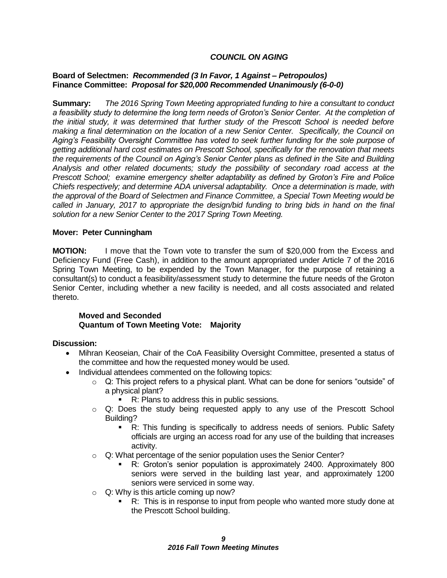#### *COUNCIL ON AGING*

#### **Board of Selectmen:** *Recommended (3 In Favor, 1 Against – Petropoulos)* **Finance Committee:** *Proposal for \$20,000 Recommended Unanimously (6-0-0)*

**Summary:** *The 2016 Spring Town Meeting appropriated funding to hire a consultant to conduct a feasibility study to determine the long term needs of Groton's Senior Center. At the completion of the initial study, it was determined that further study of the Prescott School is needed before making a final determination on the location of a new Senior Center. Specifically, the Council on Aging's Feasibility Oversight Committee has voted to seek further funding for the sole purpose of getting additional hard cost estimates on Prescott School, specifically for the renovation that meets the requirements of the Council on Aging's Senior Center plans as defined in the Site and Building Analysis and other related documents; study the possibility of secondary road access at the Prescott School; examine emergency shelter adaptability as defined by Groton's Fire and Police Chiefs respectively; and determine ADA universal adaptability. Once a determination is made, with the approval of the Board of Selectmen and Finance Committee, a Special Town Meeting would be called in January, 2017 to appropriate the design/bid funding to bring bids in hand on the final solution for a new Senior Center to the 2017 Spring Town Meeting.*

#### **Mover: Peter Cunningham**

**MOTION:** I move that the Town vote to transfer the sum of \$20,000 from the Excess and Deficiency Fund (Free Cash), in addition to the amount appropriated under Article 7 of the 2016 Spring Town Meeting, to be expended by the Town Manager, for the purpose of retaining a consultant(s) to conduct a feasibility/assessment study to determine the future needs of the Groton Senior Center, including whether a new facility is needed, and all costs associated and related thereto.

#### **Moved and Seconded Quantum of Town Meeting Vote: Majority**

#### **Discussion:**

- Mihran Keoseian, Chair of the CoA Feasibility Oversight Committee, presented a status of the committee and how the requested money would be used.
- Individual attendees commented on the following topics:
	- $\circ$  Q: This project refers to a physical plant. What can be done for seniors "outside" of a physical plant?
		- R: Plans to address this in public sessions.
	- o Q: Does the study being requested apply to any use of the Prescott School Building?
		- R: This funding is specifically to address needs of seniors. Public Safety officials are urging an access road for any use of the building that increases activity.
	- o Q: What percentage of the senior population uses the Senior Center?
		- R: Groton's senior population is approximately 2400. Approximately 800 seniors were served in the building last year, and approximately 1200 seniors were serviced in some way.
	- $\circ$  Q: Why is this article coming up now?
		- R: This is in response to input from people who wanted more study done at the Prescott School building.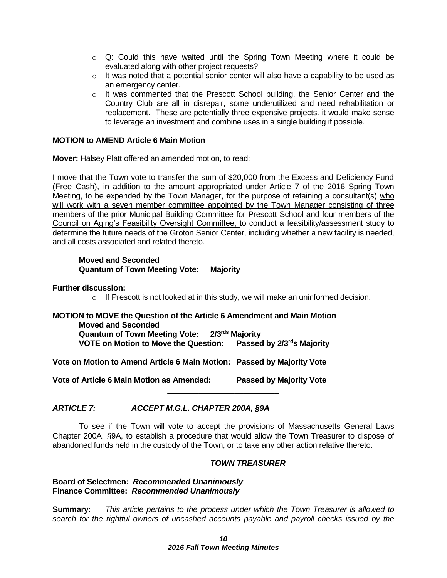- $\circ$  Q: Could this have waited until the Spring Town Meeting where it could be evaluated along with other project requests?
- o It was noted that a potential senior center will also have a capability to be used as an emergency center.
- $\circ$  It was commented that the Prescott School building, the Senior Center and the Country Club are all in disrepair, some underutilized and need rehabilitation or replacement. These are potentially three expensive projects. it would make sense to leverage an investment and combine uses in a single building if possible.

#### **MOTION to AMEND Article 6 Main Motion**

**Mover:** Halsey Platt offered an amended motion, to read:

I move that the Town vote to transfer the sum of \$20,000 from the Excess and Deficiency Fund (Free Cash), in addition to the amount appropriated under Article 7 of the 2016 Spring Town Meeting, to be expended by the Town Manager, for the purpose of retaining a consultant(s) who will work with a seven member committee appointed by the Town Manager consisting of three members of the prior Municipal Building Committee for Prescott School and four members of the Council on Aging's Feasibility Oversight Committee, to conduct a feasibility/assessment study to determine the future needs of the Groton Senior Center, including whether a new facility is needed, and all costs associated and related thereto.

#### **Moved and Seconded Quantum of Town Meeting Vote: Majority**

#### **Further discussion:**

o If Prescott is not looked at in this study, we will make an uninformed decision.

### **MOTION to MOVE the Question of the Article 6 Amendment and Main Motion Moved and Seconded Quantum of Town Meeting Vote: 2/3rds Majority VOTE on Motion to Move the Question: Passed by 2/3rds Majority**

**Vote on Motion to Amend Article 6 Main Motion: Passed by Majority Vote**

**Vote of Article 6 Main Motion as Amended: Passed by Majority Vote**

### *ARTICLE 7: ACCEPT M.G.L. CHAPTER 200A, §9A*

To see if the Town will vote to accept the provisions of Massachusetts General Laws Chapter 200A, §9A, to establish a procedure that would allow the Town Treasurer to dispose of abandoned funds held in the custody of the Town, or to take any other action relative thereto.

\_\_\_\_\_\_\_\_\_\_\_\_\_\_\_\_\_\_\_\_\_\_\_\_\_

#### *TOWN TREASURER*

#### **Board of Selectmen:** *Recommended Unanimously* **Finance Committee:** *Recommended Unanimously*

**Summary:** *This article pertains to the process under which the Town Treasurer is allowed to search for the rightful owners of uncashed accounts payable and payroll checks issued by the*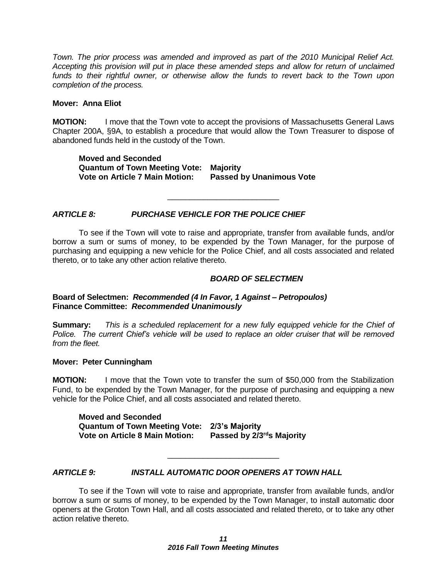*Town. The prior process was amended and improved as part of the 2010 Municipal Relief Act. Accepting this provision will put in place these amended steps and allow for return of unclaimed*  funds to their rightful owner, or otherwise allow the funds to revert back to the Town upon *completion of the process.* 

#### **Mover: Anna Eliot**

**MOTION:** I move that the Town vote to accept the provisions of Massachusetts General Laws Chapter 200A, §9A, to establish a procedure that would allow the Town Treasurer to dispose of abandoned funds held in the custody of the Town.

**Moved and Seconded Quantum of Town Meeting Vote: Majority Vote on Article 7 Main Motion: Passed by Unanimous Vote**

#### *ARTICLE 8: PURCHASE VEHICLE FOR THE POLICE CHIEF*

To see if the Town will vote to raise and appropriate, transfer from available funds, and/or borrow a sum or sums of money, to be expended by the Town Manager, for the purpose of purchasing and equipping a new vehicle for the Police Chief, and all costs associated and related thereto, or to take any other action relative thereto.

\_\_\_\_\_\_\_\_\_\_\_\_\_\_\_\_\_\_\_\_\_\_\_\_\_

#### *BOARD OF SELECTMEN*

#### **Board of Selectmen:** *Recommended (4 In Favor, 1 Against – Petropoulos)* **Finance Committee:** *Recommended Unanimously*

**Summary:** *This is a scheduled replacement for a new fully equipped vehicle for the Chief of Police. The current Chief's vehicle will be used to replace an older cruiser that will be removed from the fleet.*

#### **Mover: Peter Cunningham**

**MOTION:** I move that the Town vote to transfer the sum of \$50,000 from the Stabilization Fund, to be expended by the Town Manager, for the purpose of purchasing and equipping a new vehicle for the Police Chief, and all costs associated and related thereto.

**Moved and Seconded Quantum of Town Meeting Vote: 2/3's Majority Vote on Article 8 Main Motion: Passed by 2/3rds Majority**

#### *ARTICLE 9: INSTALL AUTOMATIC DOOR OPENERS AT TOWN HALL*

To see if the Town will vote to raise and appropriate, transfer from available funds, and/or borrow a sum or sums of money, to be expended by the Town Manager, to install automatic door openers at the Groton Town Hall, and all costs associated and related thereto, or to take any other action relative thereto.

\_\_\_\_\_\_\_\_\_\_\_\_\_\_\_\_\_\_\_\_\_\_\_\_\_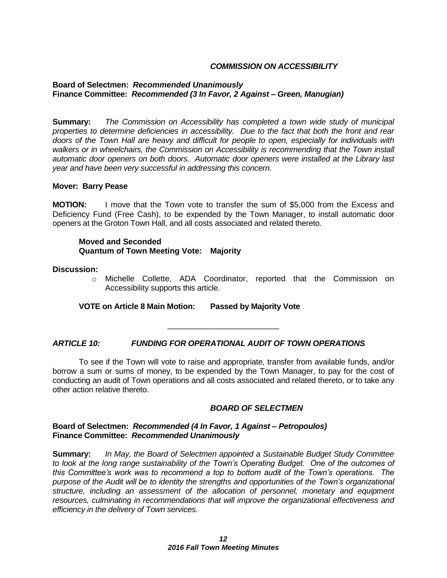#### *COMMISSION ON ACCESSIBILITY*

#### **Board of Selectmen:** *Recommended Unanimously* **Finance Committee:** *Recommended (3 In Favor, 2 Against – Green, Manugian)*

**Summary:** *The Commission on Accessibility has completed a town wide study of municipal properties to determine deficiencies in accessibility. Due to the fact that both the front and rear doors of the Town Hall are heavy and difficult for people to open, especially for individuals with walkers or in wheelchairs, the Commission on Accessibility is recommending that the Town install automatic door openers on both doors. Automatic door openers were installed at the Library last year and have been very successful in addressing this concern.*

#### **Mover: Barry Pease**

**MOTION:** I move that the Town vote to transfer the sum of \$5,000 from the Excess and Deficiency Fund (Free Cash), to be expended by the Town Manager, to install automatic door openers at the Groton Town Hall, and all costs associated and related thereto.

#### **Moved and Seconded Quantum of Town Meeting Vote: Majority**

#### **Discussion:**

o Michelle Collette, ADA Coordinator, reported that the Commission on Accessibility supports this article.

#### **VOTE on Article 8 Main Motion: Passed by Majority Vote**

*ARTICLE 10: FUNDING FOR OPERATIONAL AUDIT OF TOWN OPERATIONS*

To see if the Town will vote to raise and appropriate, transfer from available funds, and/or borrow a sum or sums of money, to be expended by the Town Manager, to pay for the cost of conducting an audit of Town operations and all costs associated and related thereto, or to take any other action relative thereto.

\_\_\_\_\_\_\_\_\_\_\_\_\_\_\_\_\_\_\_\_\_\_\_\_\_

#### *BOARD OF SELECTMEN*

#### **Board of Selectmen:** *Recommended (4 In Favor, 1 Against – Petropoulos)*  **Finance Committee:** *Recommended Unanimously*

**Summary:** *In May, the Board of Selectmen appointed a Sustainable Budget Study Committee to look at the long range sustainability of the Town's Operating Budget. One of the outcomes of this Committee's work was to recommend a top to bottom audit of the Town's operations. The purpose of the Audit will be to identity the strengths and opportunities of the Town's organizational structure, including an assessment of the allocation of personnel, monetary and equipment resources, culminating in recommendations that will improve the organizational effectiveness and efficiency in the delivery of Town services.*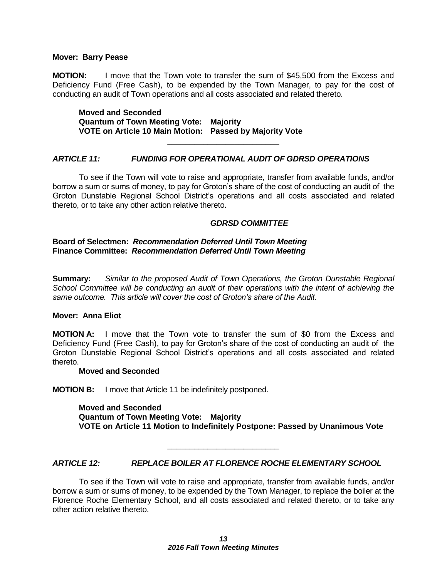#### **Mover: Barry Pease**

**MOTION:** I move that the Town vote to transfer the sum of \$45,500 from the Excess and Deficiency Fund (Free Cash), to be expended by the Town Manager, to pay for the cost of conducting an audit of Town operations and all costs associated and related thereto.

**Moved and Seconded Quantum of Town Meeting Vote: Majority VOTE on Article 10 Main Motion: Passed by Majority Vote**

#### *ARTICLE 11: FUNDING FOR OPERATIONAL AUDIT OF GDRSD OPERATIONS*

To see if the Town will vote to raise and appropriate, transfer from available funds, and/or borrow a sum or sums of money, to pay for Groton's share of the cost of conducting an audit of the Groton Dunstable Regional School District's operations and all costs associated and related thereto, or to take any other action relative thereto.

\_\_\_\_\_\_\_\_\_\_\_\_\_\_\_\_\_\_\_\_\_\_\_\_\_

#### *GDRSD COMMITTEE*

#### **Board of Selectmen:** *Recommendation Deferred Until Town Meeting* **Finance Committee:** *Recommendation Deferred Until Town Meeting*

**Summary:** *Similar to the proposed Audit of Town Operations, the Groton Dunstable Regional School Committee will be conducting an audit of their operations with the intent of achieving the same outcome. This article will cover the cost of Groton's share of the Audit.*

#### **Mover: Anna Eliot**

**MOTION A:** I move that the Town vote to transfer the sum of \$0 from the Excess and Deficiency Fund (Free Cash), to pay for Groton's share of the cost of conducting an audit of the Groton Dunstable Regional School District's operations and all costs associated and related thereto.

#### **Moved and Seconded**

**MOTION B:** I move that Article 11 be indefinitely postponed.

**Moved and Seconded Quantum of Town Meeting Vote: Majority VOTE on Article 11 Motion to Indefinitely Postpone: Passed by Unanimous Vote** 

*ARTICLE 12: REPLACE BOILER AT FLORENCE ROCHE ELEMENTARY SCHOOL*

\_\_\_\_\_\_\_\_\_\_\_\_\_\_\_\_\_\_\_\_\_\_\_\_\_

To see if the Town will vote to raise and appropriate, transfer from available funds, and/or borrow a sum or sums of money, to be expended by the Town Manager, to replace the boiler at the Florence Roche Elementary School, and all costs associated and related thereto, or to take any other action relative thereto.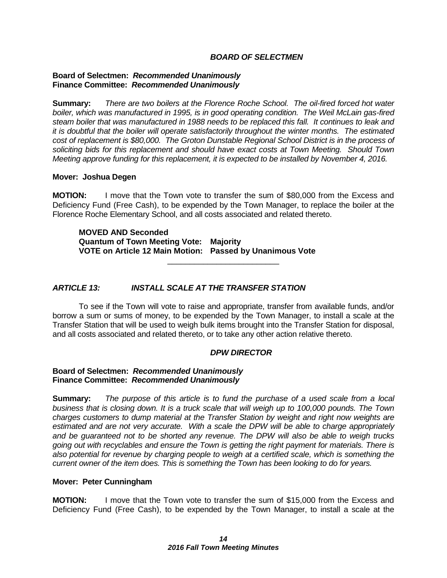#### *BOARD OF SELECTMEN*

#### **Board of Selectmen:** *Recommended Unanimously* **Finance Committee:** *Recommended Unanimously*

**Summary:** *There are two boilers at the Florence Roche School. The oil-fired forced hot water boiler, which was manufactured in 1995, is in good operating condition. The Weil McLain gas-fired steam boiler that was manufactured in 1988 needs to be replaced this fall. It continues to leak and it is doubtful that the boiler will operate satisfactorily throughout the winter months. The estimated cost of replacement is \$80,000. The Groton Dunstable Regional School District is in the process of soliciting bids for this replacement and should have exact costs at Town Meeting. Should Town Meeting approve funding for this replacement, it is expected to be installed by November 4, 2016.* 

#### **Mover: Joshua Degen**

**MOTION:** I move that the Town vote to transfer the sum of \$80,000 from the Excess and Deficiency Fund (Free Cash), to be expended by the Town Manager, to replace the boiler at the Florence Roche Elementary School, and all costs associated and related thereto.

\_\_\_\_\_\_\_\_\_\_\_\_\_\_\_\_\_\_\_\_\_\_\_\_\_

**MOVED AND Seconded Quantum of Town Meeting Vote: Majority VOTE on Article 12 Main Motion: Passed by Unanimous Vote**

#### *ARTICLE 13: INSTALL SCALE AT THE TRANSFER STATION*

To see if the Town will vote to raise and appropriate, transfer from available funds, and/or borrow a sum or sums of money, to be expended by the Town Manager, to install a scale at the Transfer Station that will be used to weigh bulk items brought into the Transfer Station for disposal, and all costs associated and related thereto, or to take any other action relative thereto.

#### *DPW DIRECTOR*

#### **Board of Selectmen:** *Recommended Unanimously* **Finance Committee:** *Recommended Unanimously*

**Summary:** *The purpose of this article is to fund the purchase of a used scale from a local business that is closing down. It is a truck scale that will weigh up to 100,000 pounds. The Town charges customers to dump material at the Transfer Station by weight and right now weights are estimated and are not very accurate. With a scale the DPW will be able to charge appropriately and be guaranteed not to be shorted any revenue. The DPW will also be able to weigh trucks going out with recyclables and ensure the Town is getting the right payment for materials. There is also potential for revenue by charging people to weigh at a certified scale, which is something the current owner of the item does. This is something the Town has been looking to do for years.* 

#### **Mover: Peter Cunningham**

**MOTION:** I move that the Town vote to transfer the sum of \$15,000 from the Excess and Deficiency Fund (Free Cash), to be expended by the Town Manager, to install a scale at the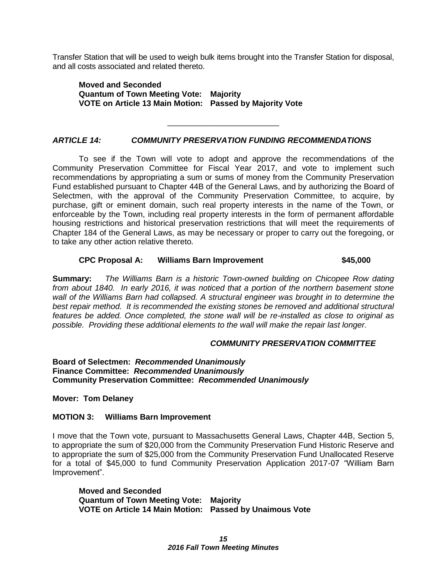Transfer Station that will be used to weigh bulk items brought into the Transfer Station for disposal, and all costs associated and related thereto.

\_\_\_\_\_\_\_\_\_\_\_\_\_\_\_\_\_\_\_\_\_\_\_\_\_

**Moved and Seconded Quantum of Town Meeting Vote: Majority VOTE on Article 13 Main Motion: Passed by Majority Vote**

#### *ARTICLE 14: COMMUNITY PRESERVATION FUNDING RECOMMENDATIONS*

To see if the Town will vote to adopt and approve the recommendations of the Community Preservation Committee for Fiscal Year 2017, and vote to implement such recommendations by appropriating a sum or sums of money from the Community Preservation Fund established pursuant to Chapter 44B of the General Laws, and by authorizing the Board of Selectmen, with the approval of the Community Preservation Committee, to acquire, by purchase, gift or eminent domain, such real property interests in the name of the Town, or enforceable by the Town, including real property interests in the form of permanent affordable housing restrictions and historical preservation restrictions that will meet the requirements of Chapter 184 of the General Laws, as may be necessary or proper to carry out the foregoing, or to take any other action relative thereto.

#### **CPC Proposal A: Williams Barn Improvement \$45,000**

**Summary:** *The Williams Barn is a historic Town-owned building on Chicopee Row dating from about 1840. In early 2016, it was noticed that a portion of the northern basement stone wall of the Williams Barn had collapsed. A structural engineer was brought in to determine the best repair method. It is recommended the existing stones be removed and additional structural features be added. Once completed, the stone wall will be re-installed as close to original as possible. Providing these additional elements to the wall will make the repair last longer.*

#### *COMMUNITY PRESERVATION COMMITTEE*

**Board of Selectmen:** *Recommended Unanimously* **Finance Committee:** *Recommended Unanimously* **Community Preservation Committee:** *Recommended Unanimously*

**Mover: Tom Delaney**

#### **MOTION 3: Williams Barn Improvement**

I move that the Town vote, pursuant to Massachusetts General Laws, Chapter 44B, Section 5, to appropriate the sum of \$20,000 from the Community Preservation Fund Historic Reserve and to appropriate the sum of \$25,000 from the Community Preservation Fund Unallocated Reserve for a total of \$45,000 to fund Community Preservation Application 2017-07 "William Barn Improvement".

**Moved and Seconded Quantum of Town Meeting Vote: Majority VOTE on Article 14 Main Motion: Passed by Unaimous Vote**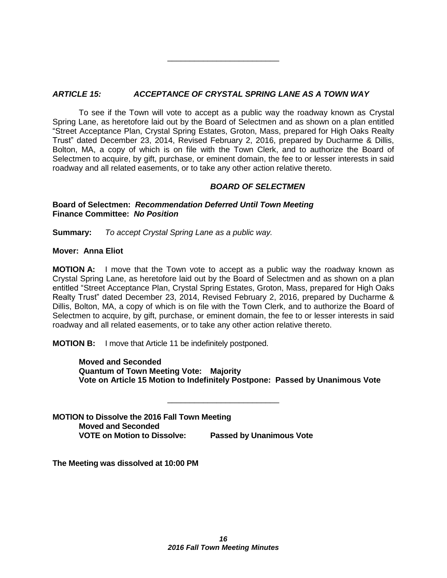### *ARTICLE 15: ACCEPTANCE OF CRYSTAL SPRING LANE AS A TOWN WAY*

To see if the Town will vote to accept as a public way the roadway known as Crystal Spring Lane, as heretofore laid out by the Board of Selectmen and as shown on a plan entitled "Street Acceptance Plan, Crystal Spring Estates, Groton, Mass, prepared for High Oaks Realty Trust" dated December 23, 2014, Revised February 2, 2016, prepared by Ducharme & Dillis, Bolton, MA, a copy of which is on file with the Town Clerk, and to authorize the Board of Selectmen to acquire, by gift, purchase, or eminent domain, the fee to or lesser interests in said roadway and all related easements, or to take any other action relative thereto.

\_\_\_\_\_\_\_\_\_\_\_\_\_\_\_\_\_\_\_\_\_\_\_\_\_

#### *BOARD OF SELECTMEN*

#### **Board of Selectmen:** *Recommendation Deferred Until Town Meeting* **Finance Committee:** *No Position*

**Summary:** *To accept Crystal Spring Lane as a public way.*

#### **Mover: Anna Eliot**

**MOTION A:** I move that the Town vote to accept as a public way the roadway known as Crystal Spring Lane, as heretofore laid out by the Board of Selectmen and as shown on a plan entitled "Street Acceptance Plan, Crystal Spring Estates, Groton, Mass, prepared for High Oaks Realty Trust" dated December 23, 2014, Revised February 2, 2016, prepared by Ducharme & Dillis, Bolton, MA, a copy of which is on file with the Town Clerk, and to authorize the Board of Selectmen to acquire, by gift, purchase, or eminent domain, the fee to or lesser interests in said roadway and all related easements, or to take any other action relative thereto.

**MOTION B:** I move that Article 11 be indefinitely postponed.

**Moved and Seconded Quantum of Town Meeting Vote: Majority Vote on Article 15 Motion to Indefinitely Postpone: Passed by Unanimous Vote**

\_\_\_\_\_\_\_\_\_\_\_\_\_\_\_\_\_\_\_\_\_\_\_\_\_

**MOTION to Dissolve the 2016 Fall Town Meeting Moved and Seconded VOTE on Motion to Dissolve: Passed by Unanimous Vote**

**The Meeting was dissolved at 10:00 PM**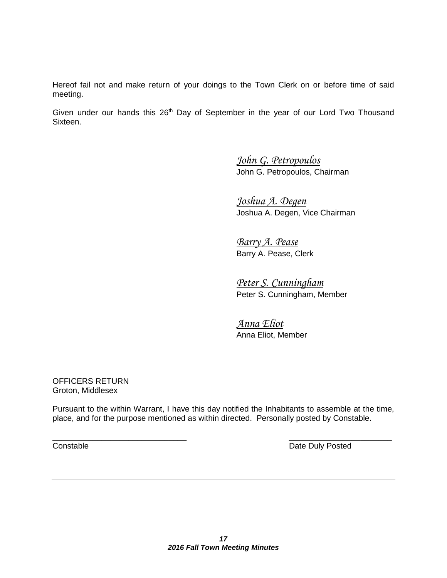Hereof fail not and make return of your doings to the Town Clerk on or before time of said meeting.

Given under our hands this  $26<sup>th</sup>$  Day of September in the year of our Lord Two Thousand Sixteen.

> *John G. Petropoulos* John G. Petropoulos, Chairman

*Joshua A. Degen* Joshua A. Degen, Vice Chairman

*Barry A. Pease* Barry A. Pease, Clerk

*Peter S. Cunningham* Peter S. Cunningham, Member

*Anna Eliot* Anna Eliot, Member

OFFICERS RETURN Groton, Middlesex

Pursuant to the within Warrant, I have this day notified the Inhabitants to assemble at the time, place, and for the purpose mentioned as within directed. Personally posted by Constable.

 $\overline{\phantom{a}}$  , and the contract of the contract of the contract of the contract of the contract of the contract of the contract of the contract of the contract of the contract of the contract of the contract of the contrac

**Constable Constable Date Duly Posted**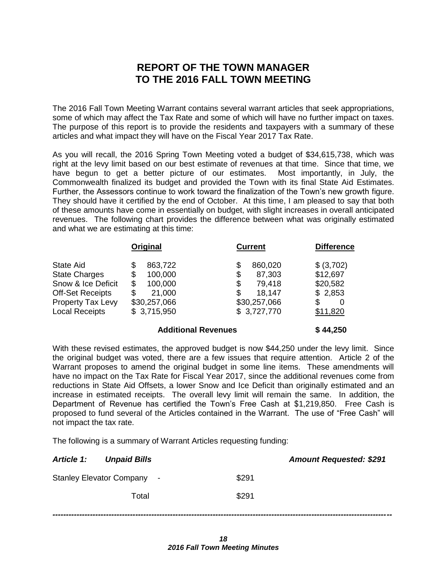## **REPORT OF THE TOWN MANAGER TO THE 2016 FALL TOWN MEETING**

The 2016 Fall Town Meeting Warrant contains several warrant articles that seek appropriations, some of which may affect the Tax Rate and some of which will have no further impact on taxes. The purpose of this report is to provide the residents and taxpayers with a summary of these articles and what impact they will have on the Fiscal Year 2017 Tax Rate.

As you will recall, the 2016 Spring Town Meeting voted a budget of \$34,615,738, which was right at the levy limit based on our best estimate of revenues at that time. Since that time, we have begun to get a better picture of our estimates. Most importantly, in July, the Commonwealth finalized its budget and provided the Town with its final State Aid Estimates. Further, the Assessors continue to work toward the finalization of the Town's new growth figure. They should have it certified by the end of October. At this time, I am pleased to say that both of these amounts have come in essentially on budget, with slight increases in overall anticipated revenues. The following chart provides the difference between what was originally estimated and what we are estimating at this time:

|                                                                                                                                         | Original                                                                                      | <b>Current</b>                                                                              | <b>Difference</b>                                                   |
|-----------------------------------------------------------------------------------------------------------------------------------------|-----------------------------------------------------------------------------------------------|---------------------------------------------------------------------------------------------|---------------------------------------------------------------------|
| State Aid<br><b>State Charges</b><br>Snow & Ice Deficit<br><b>Off-Set Receipts</b><br><b>Property Tax Levy</b><br><b>Local Receipts</b> | 863,722<br>\$<br>100,000<br>\$<br>\$<br>100,000<br>21,000<br>S<br>\$30,257,066<br>\$3,715,950 | 860,020<br>\$<br>87,303<br>\$<br>79,418<br>\$<br>18,147<br>S<br>\$30,257,066<br>\$3,727,770 | \$ (3,702)<br>\$12,697<br>\$20,582<br>\$2,853<br>S<br>0<br>\$11,820 |
|                                                                                                                                         |                                                                                               |                                                                                             |                                                                     |

#### **Additional Revenues \$ 44,250**

With these revised estimates, the approved budget is now \$44,250 under the levy limit. Since the original budget was voted, there are a few issues that require attention. Article 2 of the Warrant proposes to amend the original budget in some line items. These amendments will have no impact on the Tax Rate for Fiscal Year 2017, since the additional revenues come from reductions in State Aid Offsets, a lower Snow and Ice Deficit than originally estimated and an increase in estimated receipts. The overall levy limit will remain the same. In addition, the Department of Revenue has certified the Town's Free Cash at \$1,219,850. Free Cash is proposed to fund several of the Articles contained in the Warrant. The use of "Free Cash" will not impact the tax rate.

The following is a summary of Warrant Articles requesting funding:

| <b>Article 1: Unpaid Bills</b> |                            | <b>Amount Requested: \$291</b> |
|--------------------------------|----------------------------|--------------------------------|
|                                | Stanley Elevator Company - | \$291                          |
|                                | Total                      | \$291                          |
|                                |                            |                                |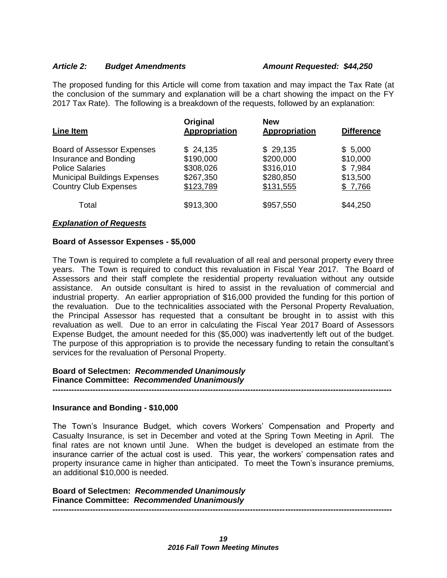#### *Article 2: Budget Amendments Amount Requested: \$44,250*

The proposed funding for this Article will come from taxation and may impact the Tax Rate (at the conclusion of the summary and explanation will be a chart showing the impact on the FY 2017 Tax Rate). The following is a breakdown of the requests, followed by an explanation:

| <b>Line Item</b>                    | Original<br>Appropriation | <b>New</b><br><b>Appropriation</b> | <b>Difference</b> |
|-------------------------------------|---------------------------|------------------------------------|-------------------|
| <b>Board of Assessor Expenses</b>   | \$24,135                  | \$29,135                           | \$5,000           |
| Insurance and Bonding               | \$190,000                 | \$200,000                          | \$10,000          |
| <b>Police Salaries</b>              | \$308,026                 | \$316,010                          | \$7,984           |
| <b>Municipal Buildings Expenses</b> | \$267,350                 | \$280,850                          | \$13,500          |
| <b>Country Club Expenses</b>        | \$123,789                 | \$131,555                          | \$7,766           |
| Total                               | \$913,300                 | \$957,550                          | \$44,250          |

#### *Explanation of Requests*

#### **Board of Assessor Expenses - \$5,000**

The Town is required to complete a full revaluation of all real and personal property every three years. The Town is required to conduct this revaluation in Fiscal Year 2017. The Board of Assessors and their staff complete the residential property revaluation without any outside assistance. An outside consultant is hired to assist in the revaluation of commercial and industrial property. An earlier appropriation of \$16,000 provided the funding for this portion of the revaluation. Due to the technicalities associated with the Personal Property Revaluation, the Principal Assessor has requested that a consultant be brought in to assist with this revaluation as well. Due to an error in calculating the Fiscal Year 2017 Board of Assessors Expense Budget, the amount needed for this (\$5,000) was inadvertently left out of the budget. The purpose of this appropriation is to provide the necessary funding to retain the consultant's services for the revaluation of Personal Property.

#### **Board of Selectmen:** *Recommended Unanimously*  **Finance Committee:** *Recommended Unanimously*

#### **Insurance and Bonding - \$10,000**

The Town's Insurance Budget, which covers Workers' Compensation and Property and Casualty Insurance, is set in December and voted at the Spring Town Meeting in April. The final rates are not known until June. When the budget is developed an estimate from the insurance carrier of the actual cost is used. This year, the workers' compensation rates and property insurance came in higher than anticipated. To meet the Town's insurance premiums, an additional \$10,000 is needed.

**-------------------------------------------------------------------------------------------------------------------------------**

**Board of Selectmen:** *Recommended Unanimously*  **Finance Committee:** *Recommended Unanimously*  **-------------------------------------------------------------------------------------------------------------------------------**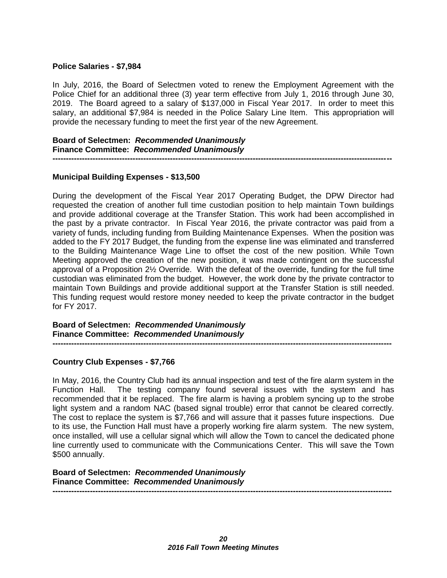#### **Police Salaries - \$7,984**

In July, 2016, the Board of Selectmen voted to renew the Employment Agreement with the Police Chief for an additional three (3) year term effective from July 1, 2016 through June 30, 2019. The Board agreed to a salary of \$137,000 in Fiscal Year 2017. In order to meet this salary, an additional \$7,984 is needed in the Police Salary Line Item. This appropriation will provide the necessary funding to meet the first year of the new Agreement.

**-------------------------------------------------------------------------------------------------------------------------------**

#### **Board of Selectmen:** *Recommended Unanimously*  **Finance Committee:** *Recommended Unanimously*

## **Municipal Building Expenses - \$13,500**

During the development of the Fiscal Year 2017 Operating Budget, the DPW Director had requested the creation of another full time custodian position to help maintain Town buildings and provide additional coverage at the Transfer Station. This work had been accomplished in the past by a private contractor. In Fiscal Year 2016, the private contractor was paid from a variety of funds, including funding from Building Maintenance Expenses. When the position was added to the FY 2017 Budget, the funding from the expense line was eliminated and transferred to the Building Maintenance Wage Line to offset the cost of the new position. While Town Meeting approved the creation of the new position, it was made contingent on the successful approval of a Proposition 2½ Override. With the defeat of the override, funding for the full time custodian was eliminated from the budget. However, the work done by the private contractor to maintain Town Buildings and provide additional support at the Transfer Station is still needed. This funding request would restore money needed to keep the private contractor in the budget for FY 2017.

**Board of Selectmen:** *Recommended Unanimously*  **Finance Committee:** *Recommended Unanimously* 

#### **Country Club Expenses - \$7,766**

In May, 2016, the Country Club had its annual inspection and test of the fire alarm system in the Function Hall. The testing company found several issues with the system and has recommended that it be replaced. The fire alarm is having a problem syncing up to the strobe light system and a random NAC (based signal trouble) error that cannot be cleared correctly. The cost to replace the system is \$7,766 and will assure that it passes future inspections. Due to its use, the Function Hall must have a properly working fire alarm system. The new system, once installed, will use a cellular signal which will allow the Town to cancel the dedicated phone line currently used to communicate with the Communications Center. This will save the Town \$500 annually.

**-------------------------------------------------------------------------------------------------------------------------------**

**Board of Selectmen:** *Recommended Unanimously*  **Finance Committee:** *Recommended Unanimously*  **-------------------------------------------------------------------------------------------------------------------------------**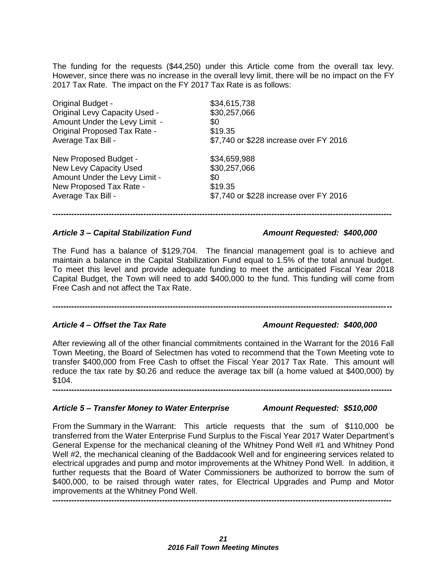The funding for the requests (\$44,250) under this Article come from the overall tax levy. However, since there was no increase in the overall levy limit, there will be no impact on the FY 2017 Tax Rate. The impact on the FY 2017 Tax Rate is as follows:

| <b>Original Budget -</b>             | \$34,615,738                           |
|--------------------------------------|----------------------------------------|
| <b>Original Levy Capacity Used -</b> | \$30,257,066                           |
| Amount Under the Levy Limit -        | \$0                                    |
| <b>Original Proposed Tax Rate -</b>  | \$19.35                                |
| Average Tax Bill -                   | \$7,740 or \$228 increase over FY 2016 |
| New Proposed Budget -                | \$34,659,988                           |
| New Levy Capacity Used               | \$30,257,066                           |
| Amount Under the Levy Limit -        | \$0                                    |
| New Proposed Tax Rate -              | \$19.35                                |
| Average Tax Bill -                   | \$7,740 or \$228 increase over FY 2016 |

#### *Article 3 – Capital Stabilization Fund Amount Requested: \$400,000*

The Fund has a balance of \$129,704. The financial management goal is to achieve and maintain a balance in the Capital Stabilization Fund equal to 1.5% of the total annual budget. To meet this level and provide adequate funding to meet the anticipated Fiscal Year 2018 Capital Budget, the Town will need to add \$400,000 to the fund. This funding will come from Free Cash and not affect the Tax Rate.

**-------------------------------------------------------------------------------------------------------------------------------**

**-------------------------------------------------------------------------------------------------------------------------------**

### *Article 4 – Offset the Tax Rate Amount Requested: \$400,000*

After reviewing all of the other financial commitments contained in the Warrant for the 2016 Fall Town Meeting, the Board of Selectmen has voted to recommend that the Town Meeting vote to transfer \$400,000 from Free Cash to offset the Fiscal Year 2017 Tax Rate. This amount will reduce the tax rate by \$0.26 and reduce the average tax bill (a home valued at \$400,000) by \$104. **-------------------------------------------------------------------------------------------------------------------------------**

### *Article 5 – Transfer Money to Water Enterprise Amount Requested: \$510,000*

From the Summary in the Warrant: This article requests that the sum of \$110,000 be transferred from the Water Enterprise Fund Surplus to the Fiscal Year 2017 Water Department's General Expense for the mechanical cleaning of the Whitney Pond Well #1 and Whitney Pond Well #2, the mechanical cleaning of the Baddacook Well and for engineering services related to electrical upgrades and pump and motor improvements at the Whitney Pond Well. In addition, it further requests that the Board of Water Commissioners be authorized to borrow the sum of \$400,000, to be raised through water rates, for Electrical Upgrades and Pump and Motor improvements at the Whitney Pond Well.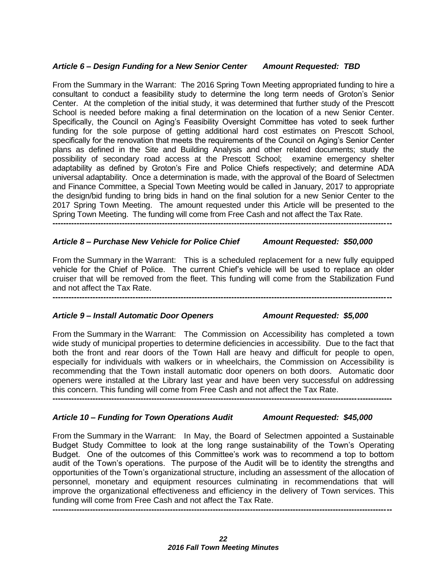### *Article 6 – Design Funding for a New Senior Center Amount Requested: TBD*

From the Summary in the Warrant: The 2016 Spring Town Meeting appropriated funding to hire a consultant to conduct a feasibility study to determine the long term needs of Groton's Senior Center. At the completion of the initial study, it was determined that further study of the Prescott School is needed before making a final determination on the location of a new Senior Center. Specifically, the Council on Aging's Feasibility Oversight Committee has voted to seek further funding for the sole purpose of getting additional hard cost estimates on Prescott School, specifically for the renovation that meets the requirements of the Council on Aging's Senior Center plans as defined in the Site and Building Analysis and other related documents; study the possibility of secondary road access at the Prescott School; examine emergency shelter adaptability as defined by Groton's Fire and Police Chiefs respectively; and determine ADA universal adaptability. Once a determination is made, with the approval of the Board of Selectmen and Finance Committee, a Special Town Meeting would be called in January, 2017 to appropriate the design/bid funding to bring bids in hand on the final solution for a new Senior Center to the 2017 Spring Town Meeting. The amount requested under this Article will be presented to the Spring Town Meeting. The funding will come from Free Cash and not affect the Tax Rate.

### *Article 8 – Purchase New Vehicle for Police Chief Amount Requested: \$50,000*

**-------------------------------------------------------------------------------------------------------------------------------**

From the Summary in the Warrant: This is a scheduled replacement for a new fully equipped vehicle for the Chief of Police. The current Chief's vehicle will be used to replace an older cruiser that will be removed from the fleet. This funding will come from the Stabilization Fund and not affect the Tax Rate. **-------------------------------------------------------------------------------------------------------------------------------**

*Article 9 – Install Automatic Door Openers Amount Requested: \$5,000*

From the Summary in the Warrant: The Commission on Accessibility has completed a town wide study of municipal properties to determine deficiencies in accessibility. Due to the fact that both the front and rear doors of the Town Hall are heavy and difficult for people to open, especially for individuals with walkers or in wheelchairs, the Commission on Accessibility is recommending that the Town install automatic door openers on both doors. Automatic door openers were installed at the Library last year and have been very successful on addressing this concern. This funding will come from Free Cash and not affect the Tax Rate. **-------------------------------------------------------------------------------------------------------------------------------**

*Article 10 – Funding for Town Operations Audit Amount Requested: \$45,000*

From the Summary in the Warrant: In May, the Board of Selectmen appointed a Sustainable Budget Study Committee to look at the long range sustainability of the Town's Operating Budget. One of the outcomes of this Committee's work was to recommend a top to bottom audit of the Town's operations. The purpose of the Audit will be to identity the strengths and opportunities of the Town's organizational structure, including an assessment of the allocation of personnel, monetary and equipment resources culminating in recommendations that will improve the organizational effectiveness and efficiency in the delivery of Town services. This funding will come from Free Cash and not affect the Tax Rate.

**-------------------------------------------------------------------------------------------------------------------------------**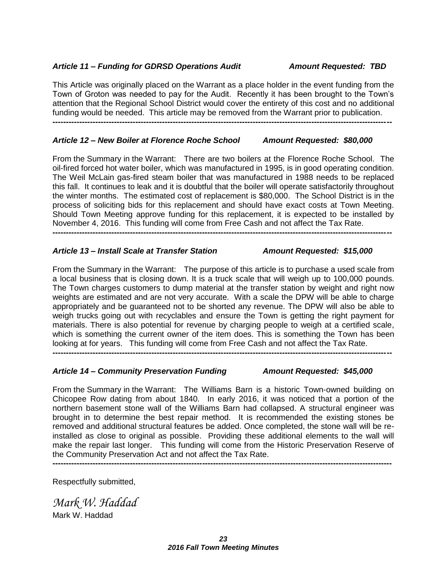### *Article 11 – Funding for GDRSD Operations Audit Amount Requested: TBD*

This Article was originally placed on the Warrant as a place holder in the event funding from the Town of Groton was needed to pay for the Audit. Recently it has been brought to the Town's attention that the Regional School District would cover the entirety of this cost and no additional funding would be needed. This article may be removed from the Warrant prior to publication. **-------------------------------------------------------------------------------------------------------------------------------**

### *Article 12 – New Boiler at Florence Roche School Amount Requested: \$80,000*

From the Summary in the Warrant: There are two boilers at the Florence Roche School. The oil-fired forced hot water boiler, which was manufactured in 1995, is in good operating condition. The Weil McLain gas-fired steam boiler that was manufactured in 1988 needs to be replaced this fall. It continues to leak and it is doubtful that the boiler will operate satisfactorily throughout the winter months. The estimated cost of replacement is \$80,000. The School District is in the process of soliciting bids for this replacement and should have exact costs at Town Meeting. Should Town Meeting approve funding for this replacement, it is expected to be installed by November 4, 2016. This funding will come from Free Cash and not affect the Tax Rate.

**-------------------------------------------------------------------------------------------------------------------------------**

### *Article 13 – Install Scale at Transfer Station Amount Requested: \$15,000*

From the Summary in the Warrant: The purpose of this article is to purchase a used scale from a local business that is closing down. It is a truck scale that will weigh up to 100,000 pounds. The Town charges customers to dump material at the transfer station by weight and right now weights are estimated and are not very accurate. With a scale the DPW will be able to charge appropriately and be guaranteed not to be shorted any revenue. The DPW will also be able to weigh trucks going out with recyclables and ensure the Town is getting the right payment for materials. There is also potential for revenue by charging people to weigh at a certified scale, which is something the current owner of the item does. This is something the Town has been looking at for years. This funding will come from Free Cash and not affect the Tax Rate.

**-------------------------------------------------------------------------------------------------------------------------------**

### *Article 14 – Community Preservation Funding Amount Requested: \$45,000*

From the Summary in the Warrant: The Williams Barn is a historic Town-owned building on Chicopee Row dating from about 1840. In early 2016, it was noticed that a portion of the northern basement stone wall of the Williams Barn had collapsed. A structural engineer was brought in to determine the best repair method. It is recommended the existing stones be removed and additional structural features be added. Once completed, the stone wall will be reinstalled as close to original as possible. Providing these additional elements to the wall will make the repair last longer. This funding will come from the Historic Preservation Reserve of the Community Preservation Act and not affect the Tax Rate.

**-------------------------------------------------------------------------------------------------------------------------------**

Respectfully submitted,

*Mark W. Haddad* Mark W. Haddad